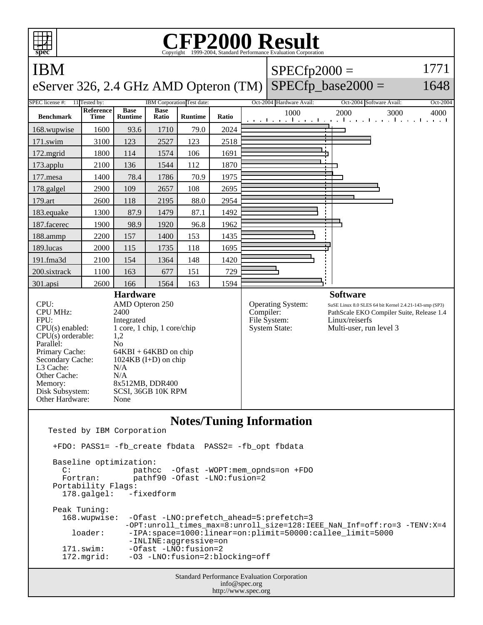